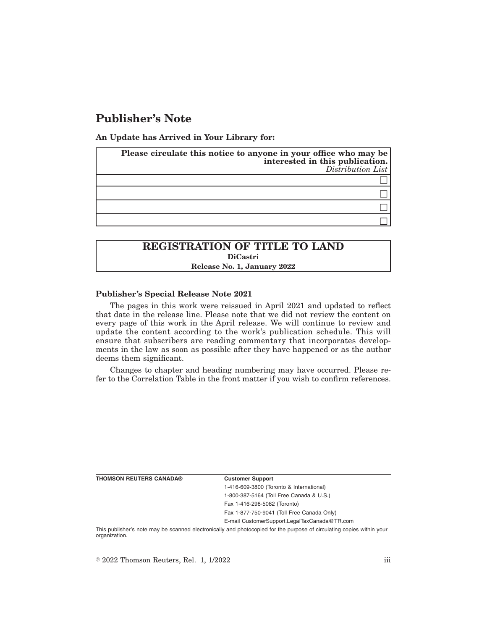# **Publisher's Note**

**An Update has Arrived in Your Library for:**

| Please circulate this notice to anyone in your office who may be<br>interested in this publication.<br>Distribution List |  |
|--------------------------------------------------------------------------------------------------------------------------|--|
|                                                                                                                          |  |
|                                                                                                                          |  |
|                                                                                                                          |  |
|                                                                                                                          |  |

## **REGISTRATION OF TITLE TO LAND DiCastri Release No. 1, January 2022**

### **Publisher's Special Release Note 2021**

The pages in this work were reissued in April 2021 and updated to reflect that date in the release line. Please note that we did not review the content on every page of this work in the April release. We will continue to review and update the content according to the work's publication schedule. This will ensure that subscribers are reading commentary that incorporates developments in the law as soon as possible after they have happened or as the author deems them significant.

Changes to chapter and heading numbering may have occurred. Please refer to the Correlation Table in the front matter if you wish to confirm references.

**THOMSON REUTERS CANADA® Customer Support**

1-416-609-3800 (Toronto & International) 1-800-387-5164 (Toll Free Canada & U.S.) Fax 1-416-298-5082 (Toronto)

Fax 1-877-750-9041 (Toll Free Canada Only)

E-mail CustomerSupport.LegalTaxCanada@TR.com

This publisher's note may be scanned electronically and photocopied for the purpose of circulating copies within your organization.

 $\degree$  2022 Thomson Reuters, Rel. 1, 1/2022 iii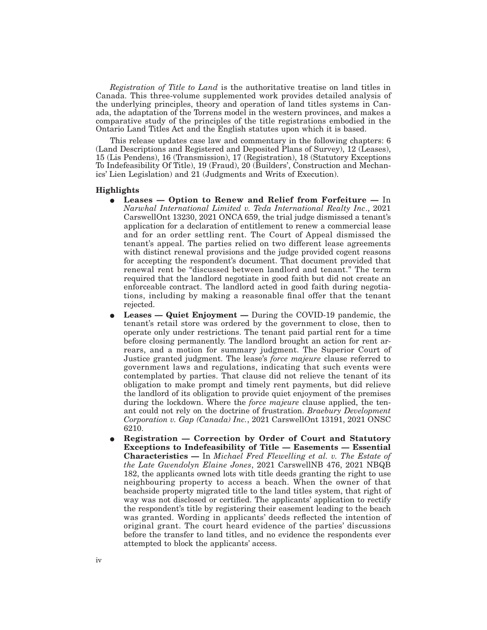*Registration of Title to Land* is the authoritative treatise on land titles in Canada. This three-volume supplemented work provides detailed analysis of the underlying principles, theory and operation of land titles systems in Canada, the adaptation of the Torrens model in the western provinces, and makes a comparative study of the principles of the title registrations embodied in the Ontario Land Titles Act and the English statutes upon which it is based.

This release updates case law and commentary in the following chapters: 6 (Land Descriptions and Registered and Deposited Plans of Survey), 12 (Leases), 15 (Lis Pendens), 16 (Transmission), 17 (Registration), 18 (Statutory Exceptions To Indefeasibility Of Title), 19 (Fraud), 20 (Builders', Construction and Mechanics' Lien Legislation) and 21 (Judgments and Writs of Execution).

### **Highlights**

- E **Leases Option to Renew and Relief from Forfeiture —** In *Narwhal International Limited v. Teda International Realty Inc*., 2021 CarswellOnt 13230, 2021 ONCA 659, the trial judge dismissed a tenant's application for a declaration of entitlement to renew a commercial lease and for an order settling rent. The Court of Appeal dismissed the tenant's appeal. The parties relied on two different lease agreements with distinct renewal provisions and the judge provided cogent reasons for accepting the respondent's document. That document provided that renewal rent be "discussed between landlord and tenant." The term required that the landlord negotiate in good faith but did not create an enforceable contract. The landlord acted in good faith during negotiations, including by making a reasonable final offer that the tenant rejected.
- E **Leases Quiet Enjoyment —** During the COVID-19 pandemic, the tenant's retail store was ordered by the government to close, then to operate only under restrictions. The tenant paid partial rent for a time before closing permanently. The landlord brought an action for rent arrears, and a motion for summary judgment. The Superior Court of Justice granted judgment. The lease's *force majeure* clause referred to government laws and regulations, indicating that such events were contemplated by parties. That clause did not relieve the tenant of its obligation to make prompt and timely rent payments, but did relieve the landlord of its obligation to provide quiet enjoyment of the premises during the lockdown. Where the *force majeure* clause applied, the tenant could not rely on the doctrine of frustration. *Braebury Development Corporation v. Gap (Canada) Inc.*, 2021 CarswellOnt 13191, 2021 ONSC 6210.
- E **Registration Correction by Order of Court and Statutory Exceptions to Indefeasibility of Title — Easements — Essential Characteristics —** In *Michael Fred Flewelling et al. v. The Estate of the Late Gwendolyn Elaine Jones*, 2021 CarswellNB 476, 2021 NBQB 182, the applicants owned lots with title deeds granting the right to use neighbouring property to access a beach. When the owner of that beachside property migrated title to the land titles system, that right of way was not disclosed or certified. The applicants' application to rectify the respondent's title by registering their easement leading to the beach was granted. Wording in applicants' deeds reflected the intention of original grant. The court heard evidence of the parties' discussions before the transfer to land titles, and no evidence the respondents ever attempted to block the applicants' access.